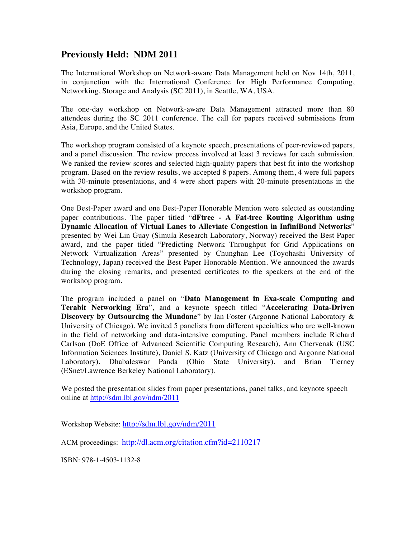# **Previously Held: NDM 2011**

The International Workshop on Network-aware Data Management held on Nov 14th, 2011, in conjunction with the International Conference for High Performance Computing, Networking, Storage and Analysis (SC 2011), in Seattle, WA, USA.

The one-day workshop on Network-aware Data Management attracted more than 80 attendees during the SC 2011 conference. The call for papers received submissions from Asia, Europe, and the United States.

The workshop program consisted of a keynote speech, presentations of peer-reviewed papers, and a panel discussion. The review process involved at least 3 reviews for each submission. We ranked the review scores and selected high-quality papers that best fit into the workshop program. Based on the review results, we accepted 8 papers. Among them, 4 were full papers with 30-minute presentations, and 4 were short papers with 20-minute presentations in the workshop program.

One Best-Paper award and one Best-Paper Honorable Mention were selected as outstanding paper contributions. The paper titled "**dFtree - A Fat-tree Routing Algorithm using Dynamic Allocation of Virtual Lanes to Alleviate Congestion in InfiniBand Networks**" presented by Wei Lin Guay (Simula Research Laboratory, Norway) received the Best Paper award, and the paper titled "Predicting Network Throughput for Grid Applications on Network Virtualization Areas" presented by Chunghan Lee (Toyohashi University of Technology, Japan) received the Best Paper Honorable Mention. We announced the awards during the closing remarks, and presented certificates to the speakers at the end of the workshop program.

The program included a panel on "**Data Management in Exa-scale Computing and Terabit Networking Era**", and a keynote speech titled "**Accelerating Data-Driven Discovery by Outsourcing the Mundan**e" by Ian Foster (Argonne National Laboratory & University of Chicago). We invited 5 panelists from different specialties who are well-known in the field of networking and data-intensive computing. Panel members include Richard Carlson (DoE Office of Advanced Scientific Computing Research), Ann Chervenak (USC Information Sciences Institute), Daniel S. Katz (University of Chicago and Argonne National Laboratory), Dhabaleswar Panda (Ohio State University), and Brian Tierney (ESnet/Lawrence Berkeley National Laboratory).

We posted the presentation slides from paper presentations, panel talks, and keynote speech online at http://sdm.lbl.gov/ndm/2011

Workshop Website: http://sdm.lbl.gov/ndm/2011

ACM proceedings: http://dl.acm.org/citation.cfm?id=2110217

ISBN: 978-1-4503-1132-8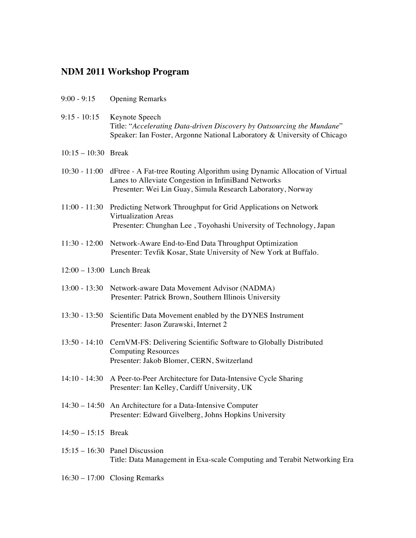# **NDM 2011 Workshop Program**

| $9:00 - 9:15$               | <b>Opening Remarks</b>                                                                                                                                                                           |
|-----------------------------|--------------------------------------------------------------------------------------------------------------------------------------------------------------------------------------------------|
| $9:15 - 10:15$              | Keynote Speech<br>Title: "Accelerating Data-driven Discovery by Outsourcing the Mundane"<br>Speaker: Ian Foster, Argonne National Laboratory & University of Chicago                             |
| $10:15 - 10:30$ Break       |                                                                                                                                                                                                  |
| $10:30 - 11:00$             | dFtree - A Fat-tree Routing Algorithm using Dynamic Allocation of Virtual<br>Lanes to Alleviate Congestion in InfiniBand Networks<br>Presenter: Wei Lin Guay, Simula Research Laboratory, Norway |
|                             | 11:00 - 11:30 Predicting Network Throughput for Grid Applications on Network<br><b>Virtualization Areas</b><br>Presenter: Chunghan Lee, Toyohashi University of Technology, Japan                |
| $11:30 - 12:00$             | Network-Aware End-to-End Data Throughput Optimization<br>Presenter: Tevfik Kosar, State University of New York at Buffalo.                                                                       |
| $12:00 - 13:00$ Lunch Break |                                                                                                                                                                                                  |
|                             | 13:00 - 13:30 Network-aware Data Movement Advisor (NADMA)<br>Presenter: Patrick Brown, Southern Illinois University                                                                              |
| $13:30 - 13:50$             | Scientific Data Movement enabled by the DYNES Instrument<br>Presenter: Jason Zurawski, Internet 2                                                                                                |
| $13:50 - 14:10$             | CernVM-FS: Delivering Scientific Software to Globally Distributed<br><b>Computing Resources</b><br>Presenter: Jakob Blomer, CERN, Switzerland                                                    |
|                             | 14:10 - 14:30 A Peer-to-Peer Architecture for Data-Intensive Cycle Sharing<br>Presenter: Ian Kelley, Cardiff University, UK                                                                      |
|                             | $14:30 - 14:50$ An Architecture for a Data-Intensive Computer<br>Presenter: Edward Givelberg, Johns Hopkins University                                                                           |
| $14:50 - 15:15$ Break       |                                                                                                                                                                                                  |
|                             | $15:15 - 16:30$ Panel Discussion<br>Title: Data Management in Exa-scale Computing and Terabit Networking Era                                                                                     |
|                             | $16:30 - 17:00$ Closing Remarks                                                                                                                                                                  |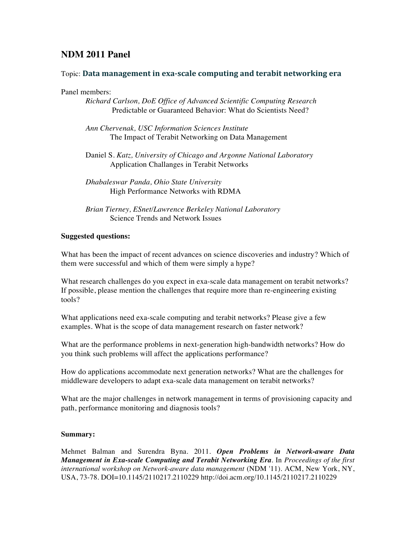## **NDM 2011 Panel**

### Topic: **Data-management-in-exa<scale-computing-and-terabit-networking-era**

Panel members:

*Richard Carlson, DoE Office of Advanced Scientific Computing Research* Predictable or Guaranteed Behavior: What do Scientists Need?

*Ann Chervenak, USC Information Sciences Institute* The Impact of Terabit Networking on Data Management

Daniel S. *Katz, University of Chicago and Argonne National Laboratory* Application Challanges in Terabit Networks

#### **Suggested questions:**

What has been the impact of recent advances on science discoveries and industry? Which of them were successful and which of them were simply a hype?

What research challenges do you expect in exa-scale data management on terabit networks? If possible, please mention the challenges that require more than re-engineering existing tools?

What applications need exa-scale computing and terabit networks? Please give a few examples. What is the scope of data management research on faster network?

What are the performance problems in next-generation high-bandwidth networks? How do you think such problems will affect the applications performance?

How do applications accommodate next generation networks? What are the challenges for middleware developers to adapt exa-scale data management on terabit networks?

What are the major challenges in network management in terms of provisioning capacity and path, performance monitoring and diagnosis tools?

#### **Summary:**

Mehmet Balman and Surendra Byna. 2011. *Open Problems in Network-aware Data Management in Exa-scale Computing and Terabit Networking Era*. In *Proceedings of the first international workshop on Network-aware data management* (NDM '11). ACM, New York, NY, USA, 73-78. DOI=10.1145/2110217.2110229 http://doi.acm.org/10.1145/2110217.2110229

*Dhabaleswar Panda, Ohio State University* High Performance Networks with RDMA

*Brian Tierney, ESnet/Lawrence Berkeley National Laboratory* Science Trends and Network Issues